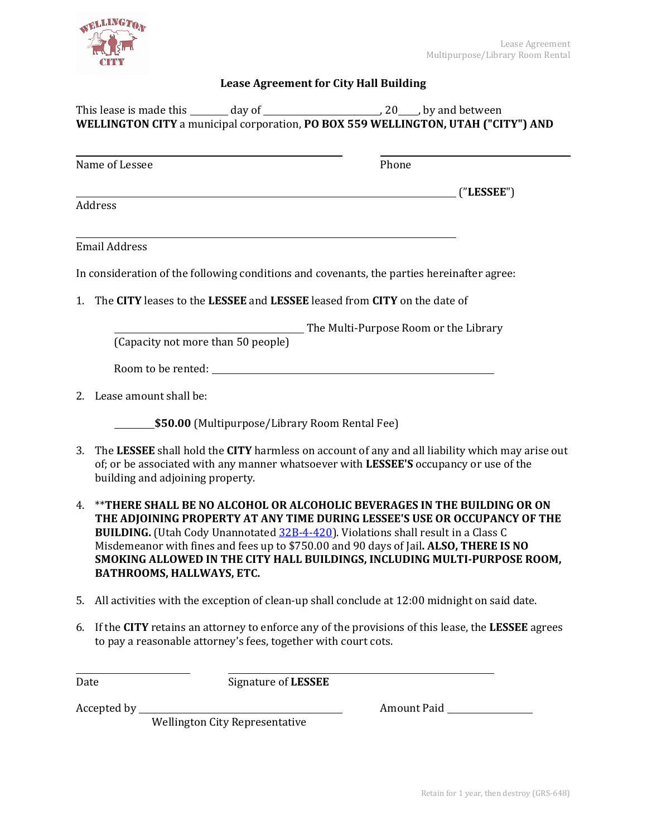

## **Lease Agreement for City Hall Building**

| This lease is made this                                                                  | day of | , 20____, by and between |
|------------------------------------------------------------------------------------------|--------|--------------------------|
| <b>WELLINGTON CITY</b> a municipal corporation, PO BOX 559 WELLINGTON, UTAH ("CITY") AND |        |                          |

| Name of Lessee                                                                             | Phone                                 |            |
|--------------------------------------------------------------------------------------------|---------------------------------------|------------|
|                                                                                            |                                       | ("LESSEE") |
| Address                                                                                    |                                       |            |
|                                                                                            |                                       |            |
| Email Address                                                                              |                                       |            |
| In consideration of the following conditions and covenants, the parties hereinafter agree: |                                       |            |
| The CITY leases to the LESSEE and LESSEE leased from CITY on the date of<br>$1_{-}$        |                                       |            |
|                                                                                            | The Multi-Purpose Room or the Library |            |
| (Capacity not more than 50 people)                                                         |                                       |            |

Room to be rented:

2. Lease amount shall be:

**\$50.00** (Multipurpose/Library Room Rental Fee)

- 3. The **LESSEE** shall hold the **CITY** harmless on account of any and all liability which may arise out of; or be associated with any manner whatsoever with **LESSEE'S** occupancy or use of the building and adjoining property.
- 4. \*\***THERE SHALL BE NO ALCOHOL OR ALCOHOLIC BEVERAGES IN THE BUILDING OR ON THE ADJOINING PROPERTY AT ANY TIME DURING LESSEE'S USE OR OCCUPANCY OF THE BUILDING.** (Utah Cody Unannotated [32B-4-420\)](https://le.utah.gov/xcode/Title32B/Chapter4/32B-4-S421.html?v=C32B-4-S421_1800010118000101). Violations shall result in a Class C Misdemeanor with fines and fees up to \$750.00 and 90 days of Jail**. ALSO, THERE IS NO SMOKING ALLOWED IN THE CITY HALL BUILDINGS, INCLUDING MULTI-PURPOSE ROOM, BATHROOMS, HALLWAYS, ETC.**
- 5. All activities with the exception of clean-up shall conclude at 12:00 midnight on said date.
- 6. If the **CITY** retains an attorney to enforce any of the provisions of this lease, the **LESSEE** agrees to pay a reasonable attorney's fees, together with court cots.

Date Signature of **LESSEE** 

Accepted by Amount Paid

Wellington City Representative